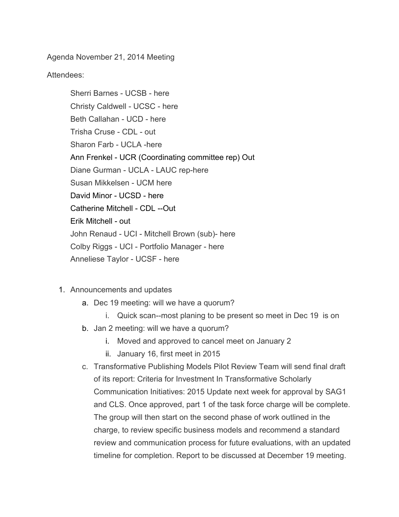Agenda November 21, 2014 Meeting

Attendees:

Sherri Barnes - UCSB - here Christy Caldwell - UCSC - here Beth Callahan - UCD - here Trisha Cruse - CDL - out Sharon Farb - UCLA -here Ann Frenkel - UCR (Coordinating committee rep) Out Diane Gurman - UCLA - LAUC rep-here Susan Mikkelsen - UCM here David Minor - UCSD - here Catherine Mitchell - CDL --Out Erik Mitchell - out John Renaud - UCI - Mitchell Brown (sub)- here Colby Riggs - UCI - Portfolio Manager - here Anneliese Taylor - UCSF - here

- 1. Announcements and updates
	- a. Dec 19 meeting: will we have a quorum?
		- i. Quick scan--most planing to be present so meet in Dec 19 is on
	- b. Jan 2 meeting: will we have a quorum?
		- i. Moved and approved to cancel meet on January 2
		- ii. January 16, first meet in 2015
	- c. Transformative Publishing Models Pilot Review Team will send final draft of its report: Criteria for Investment In Transformative Scholarly Communication Initiatives: 2015 Update next week for approval by SAG1 and CLS. Once approved, part 1 of the task force charge will be complete. The group will then start on the second phase of work outlined in the charge, to review specific business models and recommend a standard review and communication process for future evaluations, with an updated timeline for completion. Report to be discussed at December 19 meeting.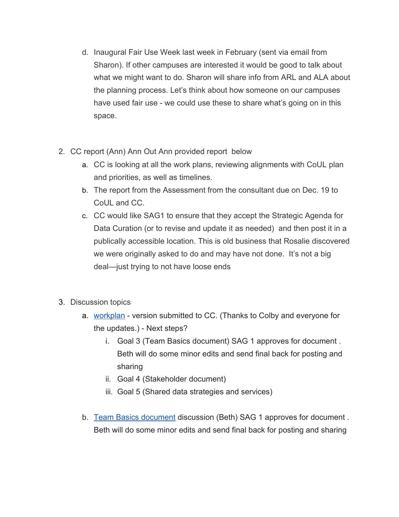- d. Inaugural Fair Use Week last week in February (sent via email from Sharon). If other campuses are interested it would be good to talk about what we might want to do. Sharon will share info from ARL and ALA about the planning process. Let's think about how someone on our campuses have used fair use - we could use these to share what's going on in this space.
- 2. CC report (Ann) Ann Out Ann provided report below
	- a. CC is looking at all the work plans, reviewing alignments with CoUL plan and priorities, as well as timelines.
	- b. The report from the Assessment from the consultant due on Dec. 19 to CoUL and CC.
	- c. CC would like SAG1 to ensure that they accept the Strategic Agenda for Data Curation (or to revise and update it as needed) and then post it in a publically accessible location. This is old business that Rosalie discovered we were originally asked to do and may have not done. It's not a big deal—just trying to not have loose ends
- 3. Discussion topics
	- a. [workplan](https://www.google.com/url?q=https%3A%2F%2Fwiki.library.ucsf.edu%2Fpages%2Fviewpage.action%3Ftitle%3DTable%2B2%2B-%2BPortfolio%2B-%2B%2BAssess%2Band%2BMonitor%26spaceKey%3DUCLSAG1&sa=D&sntz=1&usg=AFQjCNFydMff28QeGuiaDp3kRlVeNslonQ) version submitted to CC. (Thanks to Colby and everyone for the updates.) - Next steps?
		- i. Goal 3 (Team Basics document) SAG 1 approves for document . Beth will do some minor edits and send final back for posting and sharing
		- ii. Goal 4 (Stakeholder document)
		- iii. Goal 5 (Shared data strategies and services)
	- b. Team Basics [document](https://docs.google.com/document/d/1S_jyZ6SdbnLPKMV1Ql2JB5xqJM9rMZ9-sDrxzNAcdLY/edit?usp=sharing) discussion (Beth) SAG 1 approves for document. Beth will do some minor edits and send final back for posting and sharing